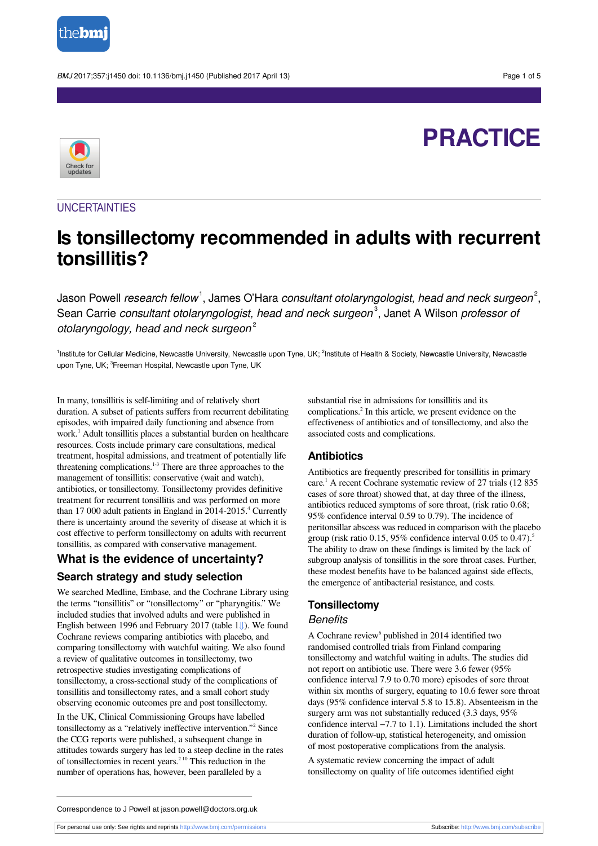

BMJ 2017;357:j1450 doi: 10.1136/bmj.j1450 (Published 2017 April 13) Page 1 of 5

# **PRACTICE**



### **UNCERTAINTIES**

## **Is tonsillectomy recommended in adults with recurrent tonsillitis?**

Jason Powell *research fellow*  $^1$ , James O'Hara *consultant otolaryngologist, head and neck surgeon* $^2,$ Sean Carrie *consultant otolaryngologist, head and neck surgeon*<sup>3</sup>, Janet A Wilson *professor o*i otolaryngology, head and neck surgeon<sup>2</sup>

<sup>1</sup>Institute for Cellular Medicine, Newcastle University, Newcastle upon Tyne, UK; <sup>2</sup>Institute of Health & Society, Newcastle University, Newcastle upon Tyne, UK; <sup>3</sup>Freeman Hospital, Newcastle upon Tyne, UK

In many, tonsillitis is self-limiting and of relatively short duration. A subset of patients suffers from recurrent debilitating episodes, with impaired daily functioning and absence from work. 1 Adult tonsillitis places a substantial burden on healthcare resources. Costs include primary care consultations, medical treatment, hospital admissions, and treatment of potentially life threatening complications. 1-3 There are three approaches to the management of tonsillitis: conservative (wait and watch), antibiotics, or tonsillectomy. Tonsillectomy provides definitive treatment for recurrent tonsillitis and was performed on more than 17 000 adult patients in England in 2014-2015.<sup>4</sup> Currently there is uncertainty around the severity of disease at which it is cost effective to perform tonsillectomy on adults with recurrent tonsillitis, as compared with conservative management.

### **What is the evidence of uncertainty?**

### **Search strategy and study selection**

We searched Medline, Embase, and the Cochrane Library using the terms "tonsillitis" or "tonsillectomy" or "pharyngitis." We included studies that involved adults and were published in English between 1996 and February 2017 (table [1⇓](#page-3-0)). We found Cochrane reviews comparing antibiotics with placebo, and comparing tonsillectomy with watchful waiting. We also found a review of qualitative outcomes in tonsillectomy, two retrospective studies investigating complications of tonsillectomy, a cross-sectional study of the complications of tonsillitis and tonsillectomy rates, and a small cohort study observing economic outcomes pre and post tonsillectomy.

In the UK, Clinical Commissioning Groups have labelled tonsillectomy as a "relatively ineffective intervention." 2 Since the CCG reports were published, a subsequent change in attitudes towards surgery has led to a steep decline in the rates of tonsillectomies in recent years. 2 10 This reduction in the number of operations has, however, been paralleled by a

substantial rise in admissions for tonsillitis and its complications. 2 In this article, we present evidence on the effectiveness of antibiotics and of tonsillectomy, and also the associated costs and complications.

#### **Antibiotics**

Antibiotics are frequently prescribed for tonsillitis in primary care. 1 A recent Cochrane systematic review of 27 trials (12 835 cases of sore throat) showed that, at day three of the illness, antibiotics reduced symptoms of sore throat, (risk ratio 0.68; 95% confidence interval 0.59 to 0.79). The incidence of peritonsillar abscess was reduced in comparison with the placebo group (risk ratio 0.15, 95% confidence interval 0.05 to 0.47).<sup>5</sup> The ability to draw on these findings is limited by the lack of subgroup analysis of tonsillitis in the sore throat cases. Further, these modest benefits have to be balanced against side effects, the emergence of antibacterial resistance, and costs.

### **Tonsillectomy**

#### **Benefits**

A Cochrane review<sup>6</sup> published in 2014 identified two randomised controlled trials from Finland comparing tonsillectomy and watchful waiting in adults. The studies did not report on antibiotic use. There were 3.6 fewer (95% confidence interval 7.9 to 0.70 more) episodes of sore throat within six months of surgery, equating to 10.6 fewer sore throat days (95% confidence interval 5.8 to 15.8). Absenteeism in the surgery arm was not substantially reduced (3.3 days, 95% confidence interval −7.7 to 1.1). Limitations included the short duration of follow-up, statistical heterogeneity, and omission of most postoperative complications from the analysis.

A systematic review concerning the impact of adult tonsillectomy on quality of life outcomes identified eight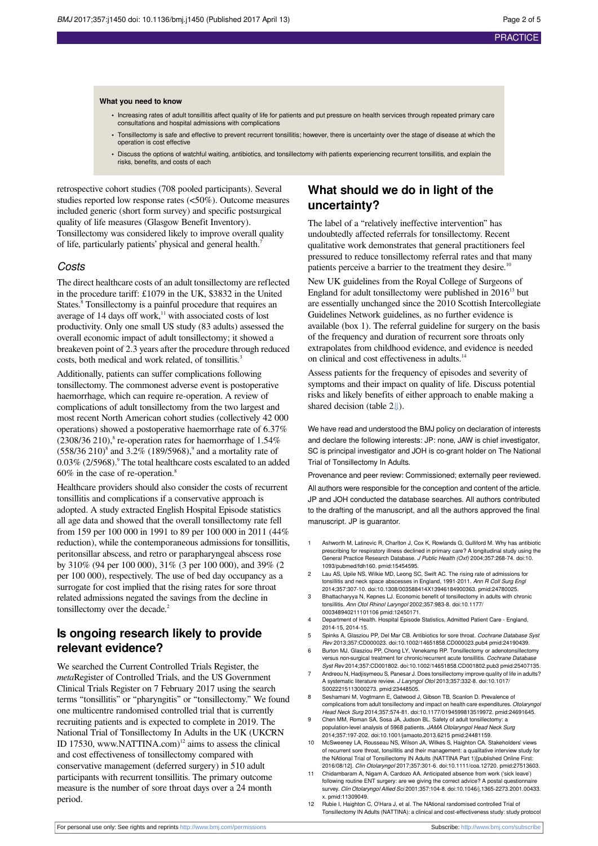#### **What you need to know**

- **•** Increasing rates of adult tonsillitis affect quality of life for patients and put pressure on health services through repeated primary care consultations and hospital admissions with complications
- **•** Tonsillectomy is safe and effective to prevent recurrent tonsillitis; however, there is uncertainty over the stage of disease at which the operation is cost effective
- **•** Discuss the options of watchful waiting, antibiotics, and tonsillectomy with patients experiencing recurrent tonsillitis, and explain the risks, benefits, and costs of each

retrospective cohort studies (708 pooled participants). Several studies reported low response rates (<50%). Outcome measures included generic (short form survey) and specific postsurgical quality of life measures (Glasgow Benefit Inventory). Tonsillectomy was considered likely to improve overall quality of life, particularly patients' physical and general health.<sup>7</sup>

#### Costs

The direct healthcare costs of an adult tonsillectomy are reflected in the procedure tariff: £1079 in the UK, \$3832 in the United States.<sup>8</sup> Tonsillectomy is a painful procedure that requires an average of 14 days off work,<sup>11</sup> with associated costs of lost productivity. Only one small US study (83 adults) assessed the overall economic impact of adult tonsillectomy; it showed a breakeven point of 2.3 years after the procedure through reduced costs, both medical and work related, of tonsillitis. 3

Additionally, patients can suffer complications following tonsillectomy. The commonest adverse event is postoperative haemorrhage, which can require re-operation. A review of complications of adult tonsillectomy from the two largest and most recent North American cohort studies (collectively 42 000 operations) showed a postoperative haemorrhage rate of 6.37%  $(2308/36 210)$ ,<sup>8</sup> re-operation rates for haemorrhage of 1.54%  $(558/36 210)^8$  and  $3.2\%$   $(189/5968)^9$  and a mortality rate of 0.03% (2/5968).<sup>9</sup> The total healthcare costs escalated to an added 60% in the case of re-operation. 8

Healthcare providers should also consider the costs of recurrent tonsillitis and complications if a conservative approach is adopted. A study extracted English Hospital Episode statistics all age data and showed that the overall tonsillectomy rate fell from 159 per 100 000 in 1991 to 89 per 100 000 in 2011 (44% reduction), while the contemporaneous admissions for tonsillitis, peritonsillar abscess, and retro or parapharyngeal abscess rose by 310% (94 per 100 000), 31% (3 per 100 000), and 39% (2 per 100 000), respectively. The use of bed day occupancy as a surrogate for cost implied that the rising rates for sore throat related admissions negated the savings from the decline in tonsillectomy over the decade.<sup>2</sup>

### **Is ongoing research likely to provide relevant evidence?**

We searched the Current Controlled Trials Register, the *meta*Register of Controlled Trials, and the US Government Clinical Trials Register on 7 February 2017 using the search terms "tonsillitis" or "pharyngitis" or "tonsillectomy." We found one multicentre randomised controlled trial that is currently recruiting patients and is expected to complete in 2019. The National Trial of Tonsillectomy In Adults in the UK (UKCRN ID 17530, [www.NATTINA.com](http://www.NATTINA.com)) <sup>12</sup> aims to assess the clinical and cost effectiveness of tonsillectomy compared with conservative management (deferred surgery) in 510 adult participants with recurrent tonsillitis. The primary outcome measure is the number of sore throat days over a 24 month period.

### **What should we do in light of the uncertainty?**

The label of a "relatively ineffective intervention" has undoubtedly affected referrals for tonsillectomy. Recent qualitative work demonstrates that general practitioners feel pressured to reduce tonsillectomy referral rates and that many patients perceive a barrier to the treatment they desire.<sup>10</sup>

New UK guidelines from the Royal College of Surgeons of England for adult tonsillectomy were published in  $2016^{13}$  but are essentially unchanged since the 2010 Scottish Intercollegiate Guidelines Network guidelines, as no further evidence is available (box 1). The referral guideline for surgery on the basis of the frequency and duration of recurrent sore throats only extrapolates from childhood evidence, and evidence is needed on clinical and cost effectiveness in adults.<sup>14</sup>

Assess patients for the frequency of episodes and severity of symptoms and their impact on quality of life. Discuss potential risks and likely benefits of either approach to enable making a shared decision (table [2⇓](#page-4-0)).

We have read and understood the BMJ policy on declaration of interests and declare the following interests: JP: none, JAW is chief investigator, SC is principal investigator and JOH is co-grant holder on The National Trial of Tonsillectomy In Adults.

Provenance and peer review: Commissioned; externally peer reviewed. All authors were responsible for the conception and content of the article. JP and JOH conducted the database searches. All authors contributed to the drafting of the manuscript, and all the authors approved the final manuscript. JP is guarantor.

- 1 Ashworth M, Latinovic R, Charlton J, Cox K, Rowlands G, Gulliford M. Why has antibiotic prescribing for respiratory illness declined in primary care? A longitudinal study using the General Practice Research Database. J Public Health (Oxf) 2004;357:268-74. [doi:10.](http://dx.doi.org/10.1093/pubmed/fdh160) [1093/pubmed/fdh160.](http://dx.doi.org/10.1093/pubmed/fdh160) [pmid:15454595.](http://www.ncbi.nlm.nih.gov/pubmed/?term=15454595)
- 2 Lau AS, Upile NS, Wilkie MD, Leong SC, Swift AC. The rising rate of admissions for tonsillitis and neck space abscesses in England, 1991-2011. Ann R Coll Surg Engl 2014;357:307-10. [doi:10.1308/003588414X13946184900363](http://dx.doi.org/10.1308/003588414X13946184900363). [pmid:24780025.](http://www.ncbi.nlm.nih.gov/pubmed/?term=24780025)
- 3 Bhattacharyya N, Kepnes LJ. Economic benefit of tonsillectomy in adults with chronic tonsillitis. Ann Otol Rhinol Laryngol 2002;357:983-8. [doi:10.1177/](http://dx.doi.org/10.1177/000348940211101106) [000348940211101106](http://dx.doi.org/10.1177/000348940211101106) [pmid:12450171](http://www.ncbi.nlm.nih.gov/pubmed/?term=12450171).
- 4 Department of Health. Hospital Episode Statistics, Admitted Patient Care England, 2014-15, 2014-15.
- 5 Spinks A, Glasziou PP, Del Mar CB. Antibiotics for sore throat. Cochrane Database Syst Rev 2013;357:CD000023. [doi:10.1002/14651858.CD000023.pub4](http://dx.doi.org/10.1002/14651858.CD000023.pub4) [pmid:24190439](http://www.ncbi.nlm.nih.gov/pubmed/?term=24190439).
- 6 Burton MJ, Glasziou PP, Chong LY, Venekamp RP. Tonsillectomy or adenotonsillectomy versus non-surgical treatment for chronic/recurrent acute tonsillitis. Cochrane Database Syst Rev 2014;357:CD001802. [doi:10.1002/14651858.CD001802.pub3](http://dx.doi.org/10.1002/14651858.CD001802.pub3) [pmid:25407135](http://www.ncbi.nlm.nih.gov/pubmed/?term=25407135).
- Andreou N, Hadjisymeou S, Panesar J. Does tonsillectomy improve quality of life in adults? A systematic literature review. J Laryngol Otol 2013;357:332-8. [doi:10.1017/](http://dx.doi.org/10.1017/S0022215113000273) [S0022215113000273.](http://dx.doi.org/10.1017/S0022215113000273) [pmid:23448505](http://www.ncbi.nlm.nih.gov/pubmed/?term=23448505).
- 8 Seshamani M, Vogtmann E, Gatwood J, Gibson TB, Scanlon D. Prevalence of complications from adult tonsillectomy and impact on health care expenditures. Otolaryngol Head Neck Surg 2014;357:574-81. [doi:10.1177/0194599813519972](http://dx.doi.org/10.1177/0194599813519972). [pmid:24691645.](http://www.ncbi.nlm.nih.gov/pubmed/?term=24691645)
- 9 Chen MM, Roman SA, Sosa JA, Judson BL. Safety of adult tonsillectomy: a population-level analysis of 5968 patients. JAMA Otolaryngol Head Neck Surg 2014;357:197-202. [doi:10.1001/jamaoto.2013.6215](http://dx.doi.org/10.1001/jamaoto.2013.6215) [pmid:24481159](http://www.ncbi.nlm.nih.gov/pubmed/?term=24481159).
- 10 McSweeney LA, Rousseau NS, Wilson JA, Wilkes S, Haighton CA. Stakeholders' views of recurrent sore throat, tonsillitis and their management: a qualitative interview study for the NAtional Trial of Tonsillectomy IN Adults (NATTINA Part 1)[published Online First 2016/08/12]. Clin Otolaryngol 2017;357:301-6. [doi:10.1111/coa.12720](http://dx.doi.org/10.1111/coa.12720). [pmid:27513603](http://www.ncbi.nlm.nih.gov/pubmed/?term=27513603).
- 11 Chidambaram A, Nigam A, Cardozo AA. Anticipated absence from work ('sick leave') following routine ENT surgery: are we giving the correct advice? A postal questionnaire survey. Clin Otolaryngol Allied Sci 2001;357:104-8. [doi:10.1046/j.1365-2273.2001.00433.](http://dx.doi.org/10.1046/j.1365-2273.2001.00433.x) [x.](http://dx.doi.org/10.1046/j.1365-2273.2001.00433.x) [pmid:11309049](http://www.ncbi.nlm.nih.gov/pubmed/?term=11309049).
- Rubie I, Haighton C, O'Hara J, et al. The NAtional randomised controlled Trial of Tonsillectomy IN Adults (NATTINA): a clinical and cost-effectiveness study: study protocol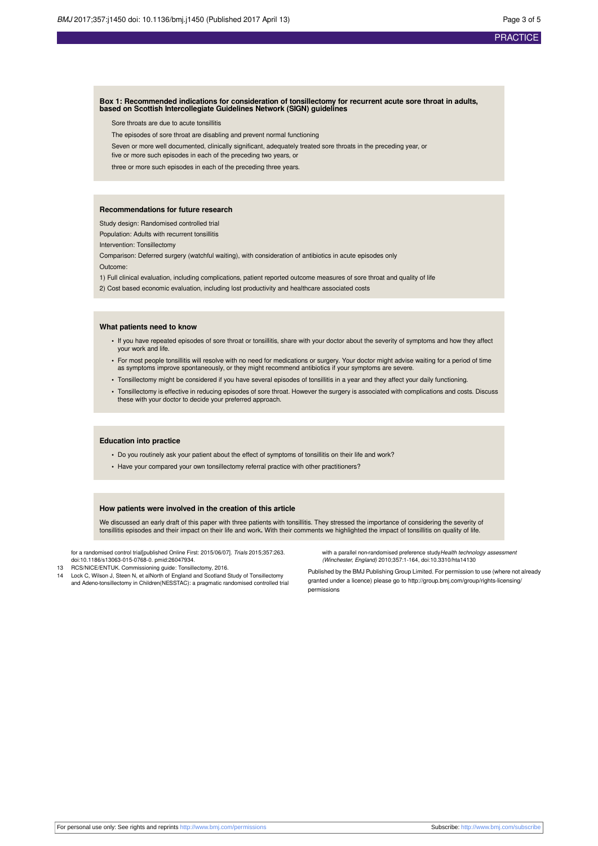#### **Box 1: Recommended indications for consideration of tonsillectomy for recurrent acute sore throat in adults, based on Scottish Intercollegiate Guidelines Network (SIGN) guidelines**

Sore throats are due to acute tonsillitis

- The episodes of sore throat are disabling and prevent normal functioning
- Seven or more well documented, clinically significant, adequately treated sore throats in the preceding year, or
- five or more such episodes in each of the preceding two years, or

three or more such episodes in each of the preceding three years.

#### **Recommendations for future research**

Study design: Randomised controlled trial

Population: Adults with recurrent tonsillitis

Intervention: Tonsillectomy

Comparison: Deferred surgery (watchful waiting), with consideration of antibiotics in acute episodes only

Outcome:

1) Full clinical evaluation, including complications, patient reported outcome measures of sore throat and quality of life

2) Cost based economic evaluation, including lost productivity and healthcare associated costs

#### **What patients need to know**

- **•** If you have repeated episodes of sore throat or tonsillitis, share with your doctor about the severity of symptoms and how they affect your work and life.
- **•** For most people tonsillitis will resolve with no need for medications or surgery. Your doctor might advise waiting for a period of time as symptoms improve spontaneously, or they might recommend antibiotics if your symptoms are severe.
- **•** Tonsillectomy might be considered if you have several episodes of tonsillitis in a year and they affect your daily functioning.
- **•** Tonsillectomy is effective in reducing episodes of sore throat. However the surgery is associated with complications and costs. Discuss these with your doctor to decide your preferred approach.

#### **Education into practice**

- **•** Do you routinely ask your patient about the effect of symptoms of tonsillitis on their life and work?
- **•** Have your compared your own tonsillectomy referral practice with other practitioners?

#### **How patients were involved in the creation of this article**

We discussed an early draft of this paper with three patients with tonsillitis. They stressed the importance of considering the severity of<br>tonsillitis episodes and their impact on their life and work. With their comments

for a randomised control trial[published Online First: 2015/06/07]. Trials 2015;357:263. [doi:10.1186/s13063-015-0768-0.](http://dx.doi.org/10.1186/s13063-015-0768-0) [pmid:26047934.](http://www.ncbi.nlm.nih.gov/pubmed/?term=26047934)

- 13 RCS/NICE/ENTUK. Commissioning guide: Tonsillectomy, 2016.
- 14 Lock C, Wilson J, Steen N, et alNorth of England and Scotland Study of Tonsillectomy and Adeno-tonsillectomy in Children(NESSTAC): a pragmatic randomised controlled trial

with a parallel non-randomised preference study Health technology assessi (Winchester, England) 2010;357:1-164, [doi:10.3310/hta14130](http://dx.doi.org/10.3310/hta14130)

Published by the BMJ Publishing Group Limited. For permission to use (where not already granted under a licence) please go to [http://group.bmj.com/group/rights-licensing/](http://group.bmj.com/group/rights-licensing/permissions) [permissions](http://group.bmj.com/group/rights-licensing/permissions)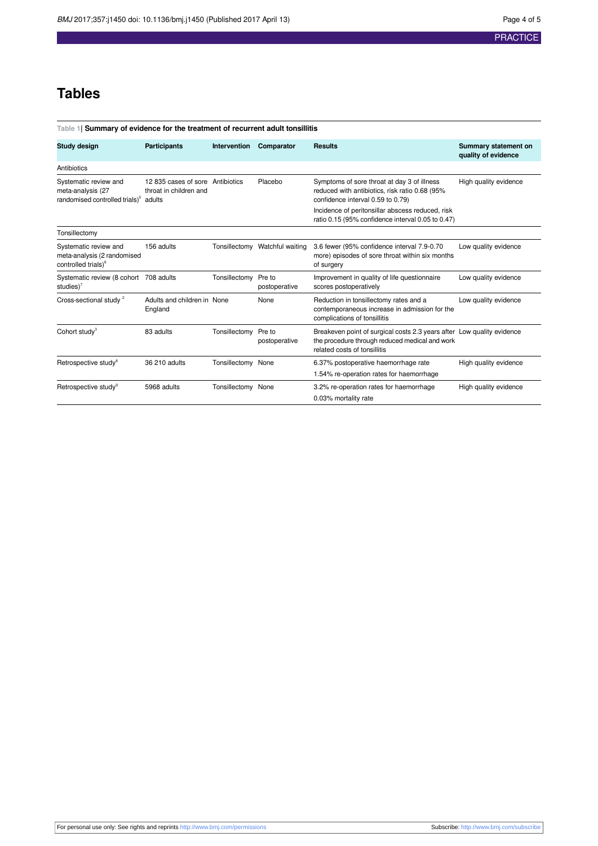### **Tables**

<span id="page-3-0"></span>

| Table 1  Summary of evidence for the treatment of recurrent adult tonsillitis                   |                                                           |                     |                                |                                                                                                                                                          |                                             |  |
|-------------------------------------------------------------------------------------------------|-----------------------------------------------------------|---------------------|--------------------------------|----------------------------------------------------------------------------------------------------------------------------------------------------------|---------------------------------------------|--|
| Study design                                                                                    | <b>Participants</b>                                       | <b>Intervention</b> | Comparator                     | <b>Results</b>                                                                                                                                           | Summary statement on<br>quality of evidence |  |
| Antibiotics                                                                                     |                                                           |                     |                                |                                                                                                                                                          |                                             |  |
| Systematic review and<br>meta-analysis (27<br>randomised controlled trials) <sup>5</sup> adults | 12835 cases of sore Antibiotics<br>throat in children and |                     | Placebo                        | Symptoms of sore throat at day 3 of illness<br>reduced with antibiotics, risk ratio 0.68 (95%<br>confidence interval 0.59 to 0.79)                       | High quality evidence                       |  |
|                                                                                                 |                                                           |                     |                                | Incidence of peritonsillar abscess reduced, risk<br>ratio 0.15 (95% confidence interval 0.05 to 0.47)                                                    |                                             |  |
| Tonsillectomy                                                                                   |                                                           |                     |                                |                                                                                                                                                          |                                             |  |
| Systematic review and<br>meta-analysis (2 randomised<br>controlled trials) <sup>6</sup>         | 156 adults                                                |                     | Tonsillectomy Watchful waiting | 3.6 fewer (95% confidence interval 7.9-0.70<br>more) episodes of sore throat within six months<br>of surgery                                             | Low quality evidence                        |  |
| Systematic review (8 cohort 708 adults<br>studies $)^7$                                         |                                                           | Tonsillectomy       | Pre to<br>postoperative        | Improvement in quality of life questionnaire<br>scores postoperatively                                                                                   | Low quality evidence                        |  |
| Cross-sectional study <sup>2</sup>                                                              | Adults and children in None<br>England                    |                     | None                           | Reduction in tonsillectomy rates and a<br>contemporaneous increase in admission for the<br>complications of tonsillitis                                  | Low quality evidence                        |  |
| Cohort study <sup>3</sup>                                                                       | 83 adults                                                 | Tonsillectomy       | Pre to<br>postoperative        | Breakeven point of surgical costs 2.3 years after Low quality evidence<br>the procedure through reduced medical and work<br>related costs of tonsillitis |                                             |  |
| Retrospective study <sup>8</sup>                                                                | 36 210 adults                                             | Tonsillectomy None  |                                | 6.37% postoperative haemorrhage rate<br>1.54% re-operation rates for haemorrhage                                                                         | High quality evidence                       |  |
| Retrospective study <sup>9</sup>                                                                | 5968 adults                                               | Tonsillectomy None  |                                | 3.2% re-operation rates for haemorrhage<br>0.03% mortality rate                                                                                          | High quality evidence                       |  |